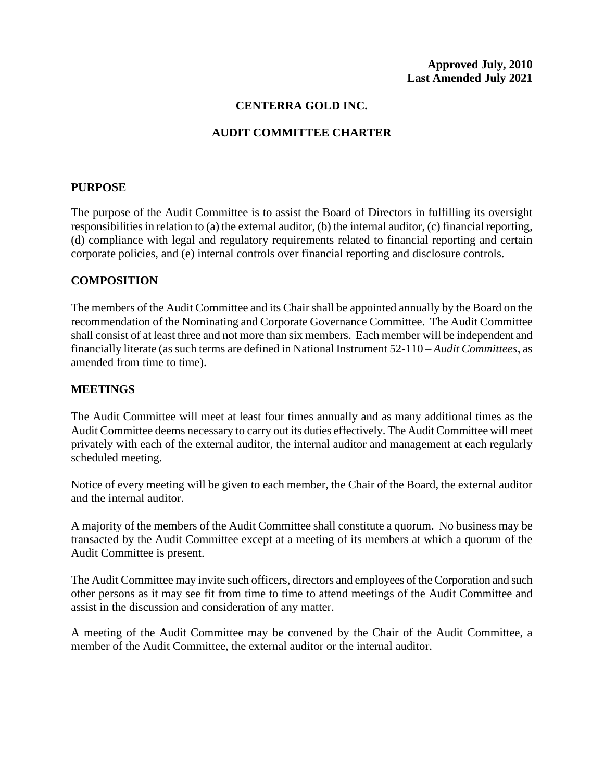## **CENTERRA GOLD INC.**

# **AUDIT COMMITTEE CHARTER**

#### **PURPOSE**

The purpose of the Audit Committee is to assist the Board of Directors in fulfilling its oversight responsibilities in relation to (a) the external auditor, (b) the internal auditor, (c) financial reporting, (d) compliance with legal and regulatory requirements related to financial reporting and certain corporate policies, and (e) internal controls over financial reporting and disclosure controls.

#### **COMPOSITION**

The members of the Audit Committee and its Chair shall be appointed annually by the Board on the recommendation of the Nominating and Corporate Governance Committee. The Audit Committee shall consist of at least three and not more than six members. Each member will be independent and financially literate (as such terms are defined in National Instrument 52-110 – *Audit Committees*, as amended from time to time).

#### **MEETINGS**

The Audit Committee will meet at least four times annually and as many additional times as the Audit Committee deems necessary to carry out its duties effectively. The Audit Committee will meet privately with each of the external auditor, the internal auditor and management at each regularly scheduled meeting.

Notice of every meeting will be given to each member, the Chair of the Board, the external auditor and the internal auditor.

A majority of the members of the Audit Committee shall constitute a quorum. No business may be transacted by the Audit Committee except at a meeting of its members at which a quorum of the Audit Committee is present.

The Audit Committee may invite such officers, directors and employees of the Corporation and such other persons as it may see fit from time to time to attend meetings of the Audit Committee and assist in the discussion and consideration of any matter.

A meeting of the Audit Committee may be convened by the Chair of the Audit Committee, a member of the Audit Committee, the external auditor or the internal auditor.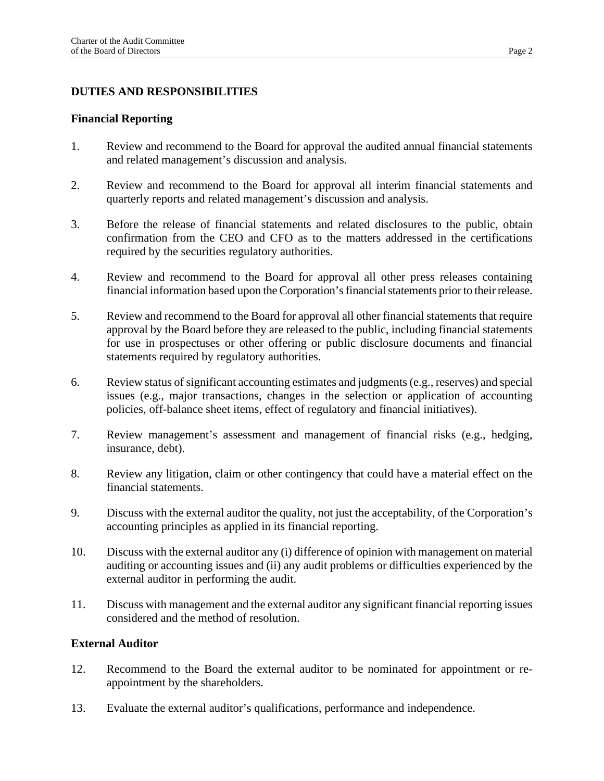# **DUTIES AND RESPONSIBILITIES**

#### **Financial Reporting**

- 1. Review and recommend to the Board for approval the audited annual financial statements and related management's discussion and analysis.
- 2. Review and recommend to the Board for approval all interim financial statements and quarterly reports and related management's discussion and analysis.
- 3. Before the release of financial statements and related disclosures to the public, obtain confirmation from the CEO and CFO as to the matters addressed in the certifications required by the securities regulatory authorities.
- 4. Review and recommend to the Board for approval all other press releases containing financial information based upon the Corporation's financial statements prior to their release.
- 5. Review and recommend to the Board for approval all other financial statements that require approval by the Board before they are released to the public, including financial statements for use in prospectuses or other offering or public disclosure documents and financial statements required by regulatory authorities.
- 6. Review status of significant accounting estimates and judgments (e.g., reserves) and special issues (e.g., major transactions, changes in the selection or application of accounting policies, off-balance sheet items, effect of regulatory and financial initiatives).
- 7. Review management's assessment and management of financial risks (e.g., hedging, insurance, debt).
- 8. Review any litigation, claim or other contingency that could have a material effect on the financial statements.
- 9. Discuss with the external auditor the quality, not just the acceptability, of the Corporation's accounting principles as applied in its financial reporting.
- 10. Discuss with the external auditor any (i) difference of opinion with management on material auditing or accounting issues and (ii) any audit problems or difficulties experienced by the external auditor in performing the audit.
- 11. Discuss with management and the external auditor any significant financial reporting issues considered and the method of resolution.

### **External Auditor**

- 12. Recommend to the Board the external auditor to be nominated for appointment or reappointment by the shareholders.
- 13. Evaluate the external auditor's qualifications, performance and independence.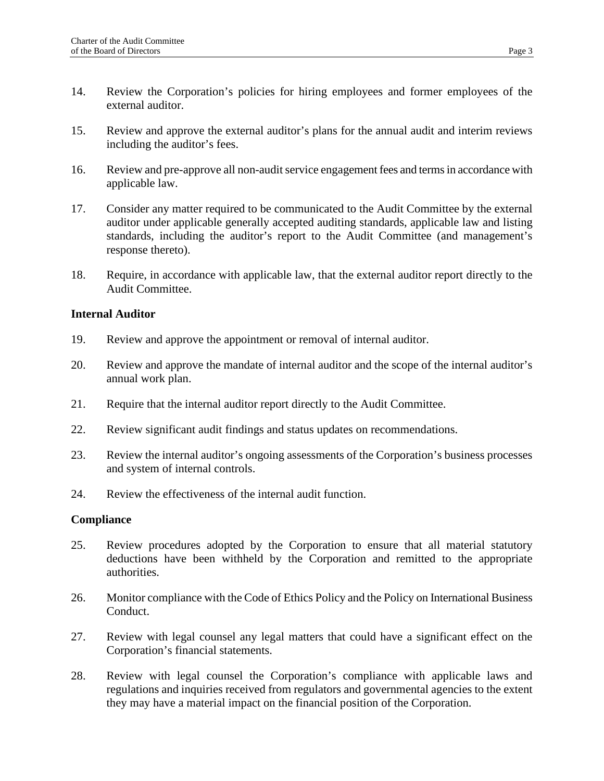- 14. Review the Corporation's policies for hiring employees and former employees of the external auditor.
- 15. Review and approve the external auditor's plans for the annual audit and interim reviews including the auditor's fees.
- 16. Review and pre-approve all non-audit service engagement fees and terms in accordance with applicable law.
- 17. Consider any matter required to be communicated to the Audit Committee by the external auditor under applicable generally accepted auditing standards, applicable law and listing standards, including the auditor's report to the Audit Committee (and management's response thereto).
- 18. Require, in accordance with applicable law, that the external auditor report directly to the Audit Committee.

### **Internal Auditor**

- 19. Review and approve the appointment or removal of internal auditor.
- 20. Review and approve the mandate of internal auditor and the scope of the internal auditor's annual work plan.
- 21. Require that the internal auditor report directly to the Audit Committee.
- 22. Review significant audit findings and status updates on recommendations.
- 23. Review the internal auditor's ongoing assessments of the Corporation's business processes and system of internal controls.
- 24. Review the effectiveness of the internal audit function.

### **Compliance**

- 25. Review procedures adopted by the Corporation to ensure that all material statutory deductions have been withheld by the Corporation and remitted to the appropriate authorities.
- 26. Monitor compliance with the Code of Ethics Policy and the Policy on International Business Conduct.
- 27. Review with legal counsel any legal matters that could have a significant effect on the Corporation's financial statements.
- 28. Review with legal counsel the Corporation's compliance with applicable laws and regulations and inquiries received from regulators and governmental agencies to the extent they may have a material impact on the financial position of the Corporation.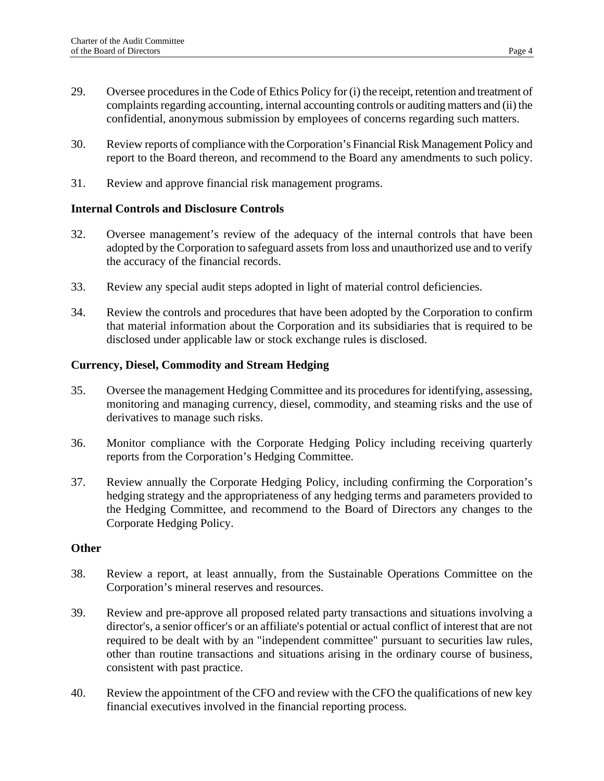- 29. Oversee procedures in the Code of Ethics Policy for (i) the receipt, retention and treatment of complaints regarding accounting, internal accounting controls or auditing matters and (ii) the confidential, anonymous submission by employees of concerns regarding such matters.
- 30. Review reports of compliance with the Corporation's Financial Risk Management Policy and report to the Board thereon, and recommend to the Board any amendments to such policy.
- 31. Review and approve financial risk management programs.

# **Internal Controls and Disclosure Controls**

- 32. Oversee management's review of the adequacy of the internal controls that have been adopted by the Corporation to safeguard assets from loss and unauthorized use and to verify the accuracy of the financial records.
- 33. Review any special audit steps adopted in light of material control deficiencies.
- 34. Review the controls and procedures that have been adopted by the Corporation to confirm that material information about the Corporation and its subsidiaries that is required to be disclosed under applicable law or stock exchange rules is disclosed.

### **Currency, Diesel, Commodity and Stream Hedging**

- 35. Oversee the management Hedging Committee and its procedures for identifying, assessing, monitoring and managing currency, diesel, commodity, and steaming risks and the use of derivatives to manage such risks.
- 36. Monitor compliance with the Corporate Hedging Policy including receiving quarterly reports from the Corporation's Hedging Committee.
- 37. Review annually the Corporate Hedging Policy, including confirming the Corporation's hedging strategy and the appropriateness of any hedging terms and parameters provided to the Hedging Committee, and recommend to the Board of Directors any changes to the Corporate Hedging Policy.

## **Other**

- 38. Review a report, at least annually, from the Sustainable Operations Committee on the Corporation's mineral reserves and resources.
- 39. Review and pre-approve all proposed related party transactions and situations involving a director's, a senior officer's or an affiliate's potential or actual conflict of interest that are not required to be dealt with by an "independent committee" pursuant to securities law rules, other than routine transactions and situations arising in the ordinary course of business, consistent with past practice.
- 40. Review the appointment of the CFO and review with the CFO the qualifications of new key financial executives involved in the financial reporting process.